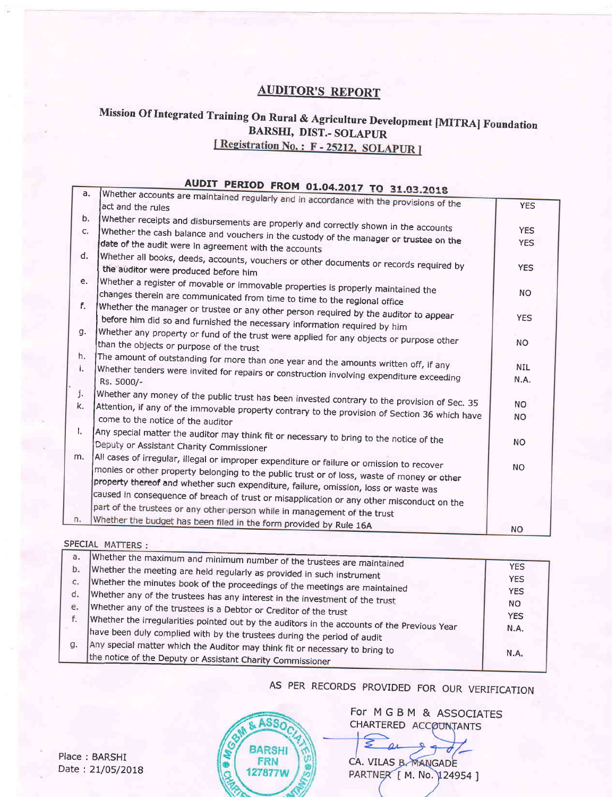# **AUDITOR'S REPORT**

# Mission Of Integrated Training On Rural & Agriculture Development [MITRA] Foundation **BARSHI, DIST.- SOLAPUR**

[Registration No.: F-25212, SOLAPUR]

#### AUDIT PERIOD FROM 01.04.2017 TO 31.03.2018 Whether accounts are maintained regularly and in accordance with the provisions of the  $\overline{a}$ . **YES** act and the rules Whether receipts and disbursements are properly and correctly shown in the accounts b. Whether the cash balance and vouchers in the custody of the manager or trustee on the **YES** c. date of the audit were in agreement with the accounts **YES** Whether all books, deeds, accounts, vouchers or other documents or records required by d. the auditor were produced before him **YES** Whether a register of movable or immovable properties is properly maintained the e. changes therein are communicated from time to time to the regional office **NO** Whether the manager or trustee or any other person required by the auditor to appear  $f_{-}$ before him did so and furnished the necessary information required by him **YES** Whether any property or fund of the trust were applied for any objects or purpose other g. than the objects or purpose of the trust **NO** The amount of outstanding for more than one year and the amounts written off, if any h. Whether tenders were invited for repairs or construction involving expenditure exceeding **NIL** i. N.A. Rs. 5000/-Whether any money of the public trust has been invested contrary to the provision of Sec. 35 j. **NO** Attention, if any of the immovable property contrary to the provision of Section 36 which have k. **NO** come to the notice of the auditor Any special matter the auditor may think fit or necessary to bring to the notice of the Τ. **NO** Deputy or Assistant Charity Commissioner All cases of irregular, illegal or improper expenditure or failure or omission to recover m. monies or other property belonging to the public trust or of loss, waste of money or other **NO** property thereof and whether such expenditure, failure, omission, loss or waste was caused in consequence of breach of trust or misapplication or any other misconduct on the part of the trustees or any other person while in management of the trust Whether the budget has been filed in the form provided by Rule 16A n. **NO**

#### SPECIAL MATTERS :

| a. |                                                                                             |            |
|----|---------------------------------------------------------------------------------------------|------------|
|    | Whether the maximum and minimum number of the trustees are maintained                       | <b>YES</b> |
| b. | Whether the meeting are held regularly as provided in such instrument                       |            |
| c. |                                                                                             | <b>YES</b> |
|    | Whether the minutes book of the proceedings of the meetings are maintained                  | <b>YES</b> |
| d. | Whether any of the trustees has any interest in the investment of the trust                 |            |
| e. |                                                                                             | NO.        |
|    | Whether any of the trustees is a Debtor or Creditor of the trust                            |            |
| f. | Whether the irregularities pointed out by the auditors in the accounts of the Previous Year | <b>YES</b> |
|    |                                                                                             | N.A.       |
|    | have been duly complied with by the trustees during the period of audit                     |            |
| g. |                                                                                             |            |
|    | Any special matter which the Auditor may think fit or necessary to bring to                 | N.A.       |
|    | the notice of the Deputy or Assistant Charity Commissioner                                  |            |
|    |                                                                                             |            |

AS PER RECORDS PROVIDED FOR OUR VERIFICATION

ASS<sub>O</sub> **BARSHI FRN** 127877W

For M G B M & ASSOCIATES CHARTERED ACCOUNTANTS

CA. VILAS B. MANGADE PARTNER [ M. No. 124954 ]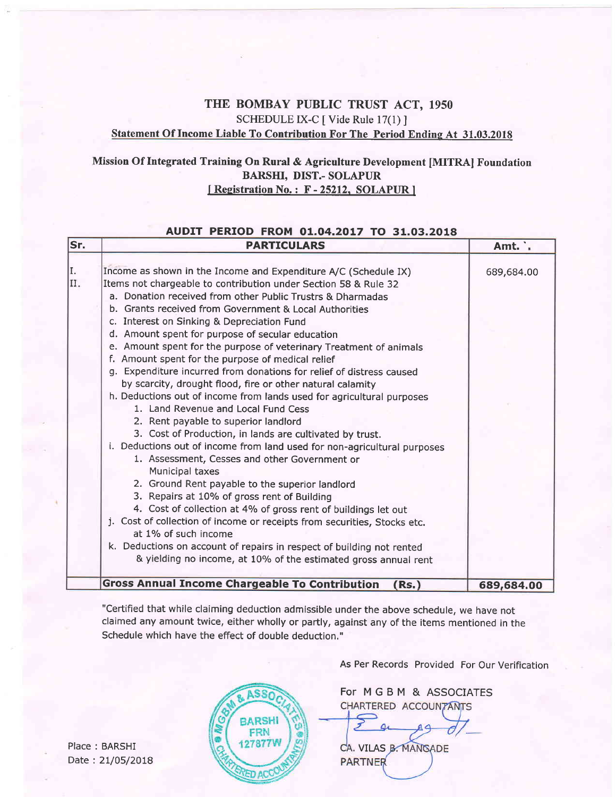# THE BOMBAY PUBLIC TRUST ACT, 1950 SCHEDULE IX-C [ Vide Rule 17(1) ] Statement Of Income Liable To Contribution For The Period Endine At 31.03.2018

## Mission Of Integrated Training On Rural & Agriculture Development [MITRA] Foundation BARSHI, DIST.- SOLAPUR [Registration No.: F-25212, SOLAPUR]

### AUDIT PERIOD FROM 01.04.2017 TO 31.03.2018

| Sr.        | <b>PARTICULARS</b>                                                                                                                                                                                                                                                                                                                                                                                                                                                                                                                                                                                                                                                                                                                                                                                                                                                                                                                                                                                                                                                                                                                                                                                                                                                                                                                                                                                                    | Amt. .     |
|------------|-----------------------------------------------------------------------------------------------------------------------------------------------------------------------------------------------------------------------------------------------------------------------------------------------------------------------------------------------------------------------------------------------------------------------------------------------------------------------------------------------------------------------------------------------------------------------------------------------------------------------------------------------------------------------------------------------------------------------------------------------------------------------------------------------------------------------------------------------------------------------------------------------------------------------------------------------------------------------------------------------------------------------------------------------------------------------------------------------------------------------------------------------------------------------------------------------------------------------------------------------------------------------------------------------------------------------------------------------------------------------------------------------------------------------|------------|
| II.<br>II. | Income as shown in the Income and Expenditure A/C (Schedule IX)<br>Items not chargeable to contribution under Section 58 & Rule 32<br>a. Donation received from other Public Trustrs & Dharmadas<br>b. Grants received from Government & Local Authorities<br>c. Interest on Sinking & Depreciation Fund<br>d. Amount spent for purpose of secular education<br>e. Amount spent for the purpose of veterinary Treatment of animals<br>f. Amount spent for the purpose of medical relief<br>g. Expenditure incurred from donations for relief of distress caused<br>by scarcity, drought flood, fire or other natural calamity<br>h. Deductions out of income from lands used for agricultural purposes<br>1. Land Revenue and Local Fund Cess<br>2. Rent payable to superior landlord<br>3. Cost of Production, in lands are cultivated by trust.<br>i. Deductions out of income from land used for non-agricultural purposes<br>1. Assessment, Cesses and other Government or<br>Municipal taxes<br>2. Ground Rent payable to the superior landlord<br>3. Repairs at 10% of gross rent of Building<br>4. Cost of collection at 4% of gross rent of buildings let out<br>j. Cost of collection of income or receipts from securities, Stocks etc.<br>at 1% of such income<br>k. Deductions on account of repairs in respect of building not rented<br>& yielding no income, at 10% of the estimated gross annual rent | 689,684.00 |
|            | <b>Gross Annual Income Chargeable To Contribution</b><br>Rs.)                                                                                                                                                                                                                                                                                                                                                                                                                                                                                                                                                                                                                                                                                                                                                                                                                                                                                                                                                                                                                                                                                                                                                                                                                                                                                                                                                         | 689,684.00 |

"Ceftified that while claiming deduction admissible under the above schedule, we have not claimed any amount twice, either wholly or partly, against any of the items mentioned in the Schedule which have the effect of double deduction."

ASSO

**BARSHI** FRN 27877V

As Per Records Provided For Our Verification

For MGBM & ASSOCIATES CHARTERED ACCOUNTANTS

CA. VILAS B. MANGADE **PARTNER** 

Place : BARSHI Date: 21/05/2018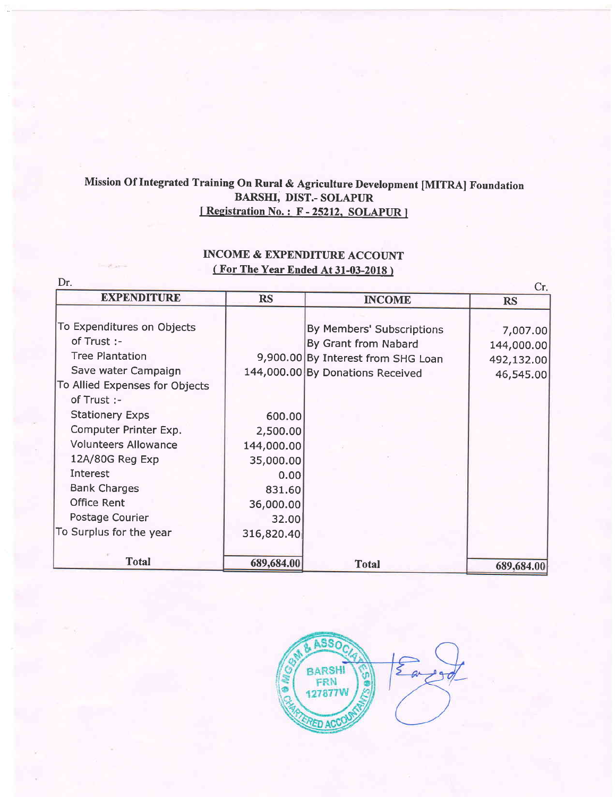# Mission Of Integrated Training On Rural & Agriculture Development [MITRA] Foundation BARSHI, DIST.- SOLAPUR<br>
[Registration No.: F - 25212, SOLAPUR]

# INCOME & EXPENDITURE ACCOUNT ( For The Year Ended At 31-03-2018 )

| Dr.                            |            |                                    | Cr <sub>r</sub> |
|--------------------------------|------------|------------------------------------|-----------------|
| <b>EXPENDITURE</b>             | <b>RS</b>  | <b>INCOME</b>                      | <b>RS</b>       |
| To Expenditures on Objects     |            | By Members' Subscriptions          | 7,007.00        |
| of Trust :-                    |            | By Grant from Nabard               | 144,000.00      |
| <b>Tree Plantation</b>         |            | 9,900.00 By Interest from SHG Loan | 492,132.00      |
| Save water Campaign            |            | 144,000.00 By Donations Received   | 46,545.00       |
| To Allied Expenses for Objects |            |                                    |                 |
| of Trust :-                    |            |                                    |                 |
| <b>Stationery Exps</b>         | 600.00     |                                    |                 |
| Computer Printer Exp.          | 2,500.00   |                                    |                 |
| <b>Volunteers Allowance</b>    | 144,000.00 |                                    |                 |
| 12A/80G Reg Exp                | 35,000.00  |                                    |                 |
| Interest                       | 0.00       |                                    |                 |
| <b>Bank Charges</b>            | 831.60     |                                    |                 |
| Office Rent                    | 36,000.00  |                                    |                 |
| Postage Courier                | 32.00      |                                    |                 |
| To Surplus for the year        | 316,820.40 |                                    |                 |
|                                |            |                                    |                 |
| <b>Total</b>                   | 689,684.00 | <b>Total</b>                       | 689,684.00      |

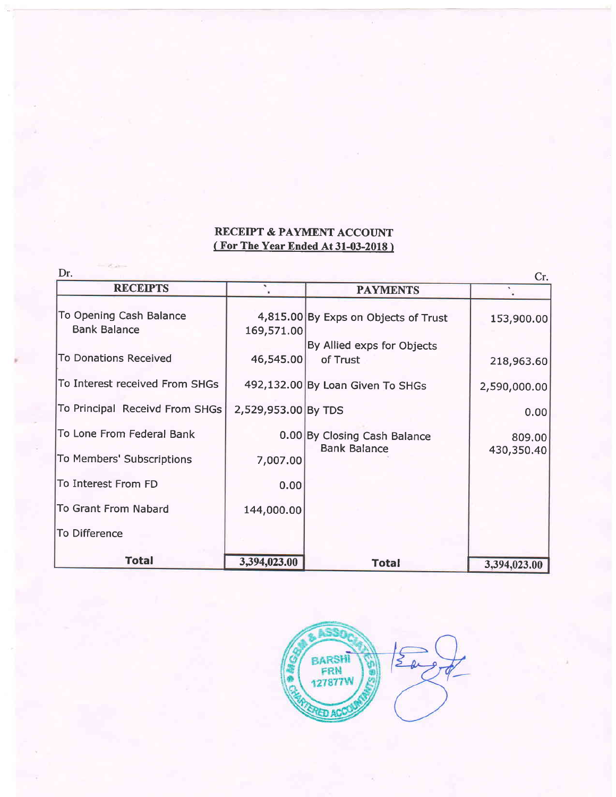# RECEIPT & PAYMENT ACCOUNT ( For The Year Ended At 31-03-2018 )

| Dr.<br>Cr.                                     |                     |                                        |              |
|------------------------------------------------|---------------------|----------------------------------------|--------------|
| <b>RECEIPTS</b>                                |                     | <b>PAYMENTS</b>                        |              |
| To Opening Cash Balance<br><b>Bank Balance</b> | 169,571.00          | 4,815.00 By Exps on Objects of Trust   | 153,900.00   |
| <b>To Donations Received</b>                   | 46,545.00           | By Allied exps for Objects<br>of Trust | 218,963.60   |
| To Interest received From SHGs                 |                     | 492,132.00 By Loan Given To SHGs       | 2,590,000.00 |
| To Principal Receivd From SHGs                 | 2,529,953.00 By TDS |                                        | 0.00         |
| To Lone From Federal Bank                      |                     | 0.00 By Closing Cash Balance           | 809.00       |
| To Members' Subscriptions                      | 7,007.00            | <b>Bank Balance</b>                    | 430,350.40   |
| To Interest From FD                            | 0.00                |                                        |              |
| To Grant From Nabard                           | 144,000.00          |                                        |              |
| To Difference                                  |                     |                                        |              |
| <b>Total</b>                                   | 3,394,023.00        | <b>Total</b>                           | 3,394,023.00 |